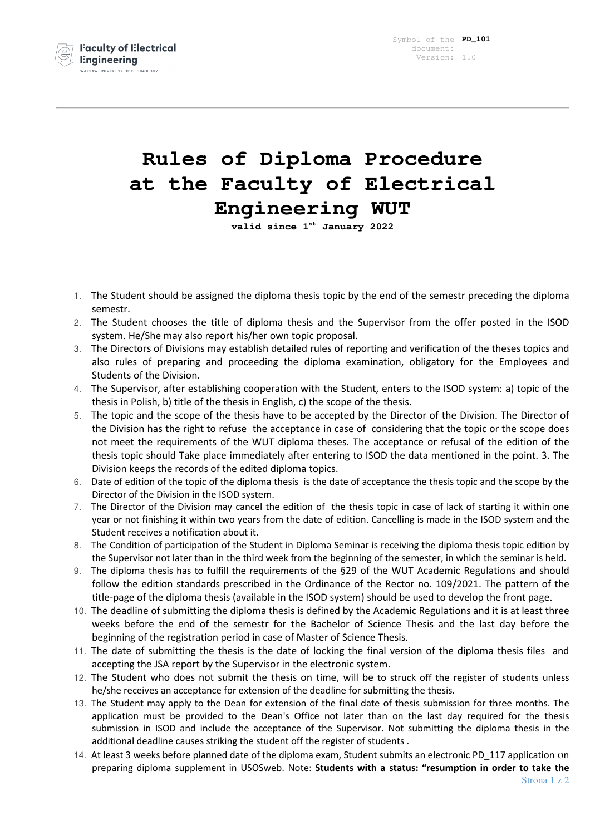

## **Rules of Diploma Procedure at the Faculty of Electrical Engineering WUT**

**valid since 1st January 2022** 

- 1. The Student should be assigned the diploma thesis topic by the end of the semestr preceding the diploma semestr.
- 2. The Student chooses the title of diploma thesis and the Supervisor from the offer posted in the ISOD system. He/She may also report his/her own topic proposal.
- 3. The Directors of Divisions may establish detailed rules of reporting and verification of the theses topics and also rules of preparing and proceeding the diploma examination, obligatory for the Employees and Students of the Division.
- 4. The Supervisor, after establishing cooperation with the Student, enters to the ISOD system: a) topic of the thesis in Polish, b) title of the thesis in English, c) the scope of the thesis.
- 5. The topic and the scope of the thesis have to be accepted by the Director of the Division. The Director of the Division has the right to refuse the acceptance in case of considering that the topic or the scope does not meet the requirements of the WUT diploma theses. The acceptance or refusal of the edition of the thesis topic should Take place immediately after entering to ISOD the data mentioned in the point. 3. The Division keeps the records of the edited diploma topics.
- 6. Date of edition of the topic of the diploma thesis is the date of acceptance the thesis topic and the scope by the Director of the Division in the ISOD system.
- 7. The Director of the Division may cancel the edition of the thesis topic in case of lack of starting it within one year or not finishing it within two years from the date of edition. Cancelling is made in the ISOD system and the Student receives a notification about it.
- 8. The Condition of participation of the Student in Diploma Seminar is receiving the diploma thesis topic edition by the Supervisor not later than in the third week from the beginning of the semester, in which the seminar is held.
- 9. The diploma thesis has to fulfill the requirements of the §29 of the WUT Academic Regulations and should follow the edition standards prescribed in the Ordinance of the Rector no. 109/2021. The pattern of the title-page of the diploma thesis (available in the ISOD system) should be used to develop the front page.
- 10. The deadline of submitting the diploma thesis is defined by the Academic Regulations and it is at least three weeks before the end of the semestr for the Bachelor of Science Thesis and the last day before the beginning of the registration period in case of Master of Science Thesis.
- 11. The date of submitting the thesis is the date of locking the final version of the diploma thesis files and accepting the JSA report by the Supervisor in the electronic system.
- 12. The Student who does not submit the thesis on time, will be to struck off the register of students unless he/she receives an acceptance for extension of the deadline for submitting the thesis.
- 13. The Student may apply to the Dean for extension of the final date of thesis submission for three months. The application must be provided to the Dean's Office not later than on the last day required for the thesis submission in ISOD and include the acceptance of the Supervisor. Not submitting the diploma thesis in the additional deadline causes striking the student off the register of students .
- 14. At least 3 weeks before planned date of the diploma exam, Student submits an electronic PD\_117 application on preparing diploma supplement in USOSweb. Note: **Students with a status: "resumption in order to take the**